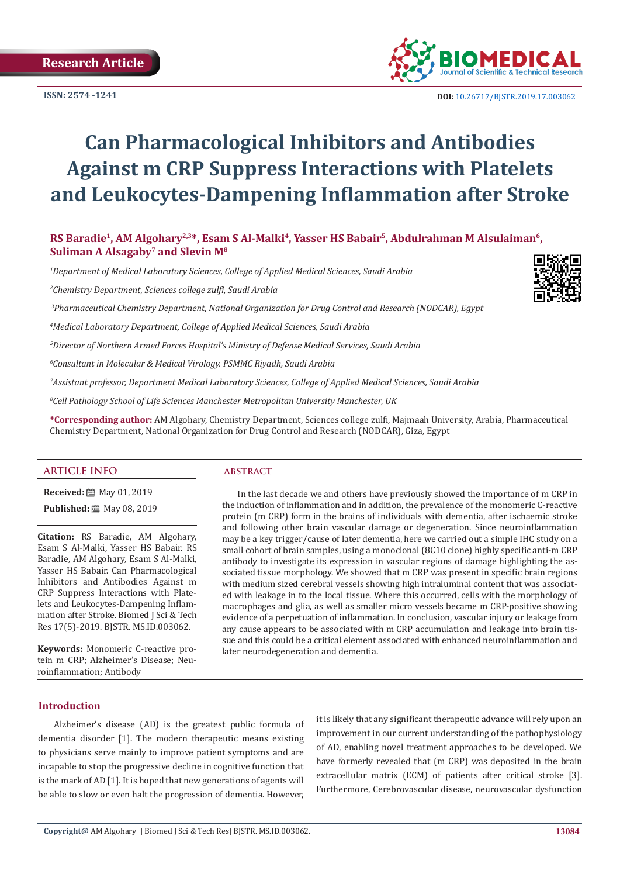

 **DOI:** [10.26717/BJSTR.2019.17.0030](http://dx.doi.org/10.26717/BJSTR.2019.17.003062)62

# **Can Pharmacological Inhibitors and Antibodies Against m CRP Suppress Interactions with Platelets and Leukocytes-Dampening Inflammation after Stroke**

# RS Baradie<sup>1</sup>, AM Algohary<sup>2,3\*</sup>, Esam S Al-Malki<sup>4</sup>, Yasser HS Babair<sup>5</sup>, Abdulrahman M Alsulaiman<sup>6</sup>, **Suliman A Alsagaby7 and Slevin M8**

*1 Department of Medical Laboratory Sciences, College of Applied Medical Sciences, Saudi Arabia*

*2 Chemistry Department, Sciences college zulfi, Saudi Arabia* 

 *3Pharmaceutical Chemistry Department, National Organization for Drug Control and Research (NODCAR), Egypt*

*4 Medical Laboratory Department, College of Applied Medical Sciences, Saudi Arabia*

*5 Director of Northern Armed Forces Hospital's Ministry of Defense Medical Services, Saudi Arabia*

*6 Consultant in Molecular & Medical Virology. PSMMC Riyadh, Saudi Arabia*

*7 Assistant professor, Department Medical Laboratory Sciences, College of Applied Medical Sciences, Saudi Arabia* 

*8 Cell Pathology School of Life Sciences Manchester Metropolitan University Manchester, UK*

**\*Corresponding author:** AM Algohary, Chemistry Department, Sciences college zulfi, Majmaah University, Arabia, Pharmaceutical Chemistry Department, National Organization for Drug Control and Research (NODCAR), Giza, Egypt

### **ARTICLE INFO abstract**

**Received:** 圖 May 01, 2019

**Published:** ■ May 08, 2019

**Citation:** RS Baradie, AM Algohary, Esam S Al-Malki, Yasser HS Babair. RS Baradie, AM Algohary, Esam S Al-Malki, Yasser HS Babair. Can Pharmacological Inhibitors and Antibodies Against m CRP Suppress Interactions with Platelets and Leukocytes-Dampening Inflammation after Stroke. Biomed J Sci & Tech Res 17(5)-2019. BJSTR. MS.ID.003062.

**Keywords:** Monomeric C-reactive protein m CRP; Alzheimer's Disease; Neuroinflammation; Antibody

In the last decade we and others have previously showed the importance of m CRP in the induction of inflammation and in addition, the prevalence of the monomeric C-reactive protein (m CRP) form in the brains of individuals with dementia, after ischaemic stroke and following other brain vascular damage or degeneration. Since neuroinflammation may be a key trigger/cause of later dementia, here we carried out a simple IHC study on a small cohort of brain samples, using a monoclonal (8C10 clone) highly specific anti-m CRP antibody to investigate its expression in vascular regions of damage highlighting the associated tissue morphology. We showed that m CRP was present in specific brain regions with medium sized cerebral vessels showing high intraluminal content that was associated with leakage in to the local tissue. Where this occurred, cells with the morphology of macrophages and glia, as well as smaller micro vessels became m CRP-positive showing evidence of a perpetuation of inflammation. In conclusion, vascular injury or leakage from any cause appears to be associated with m CRP accumulation and leakage into brain tissue and this could be a critical element associated with enhanced neuroinflammation and later neurodegeneration and dementia.

# **Introduction**

Alzheimer's disease (AD) is the greatest public formula of dementia disorder [1]. The modern therapeutic means existing to physicians serve mainly to improve patient symptoms and are incapable to stop the progressive decline in cognitive function that is the mark of AD [1]. It is hoped that new generations of agents will be able to slow or even halt the progression of dementia. However, it is likely that any significant therapeutic advance will rely upon an improvement in our current understanding of the pathophysiology of AD, enabling novel treatment approaches to be developed. We have formerly revealed that (m CRP) was deposited in the brain extracellular matrix (ECM) of patients after critical stroke [3]. Furthermore, Cerebrovascular disease, neurovascular dysfunction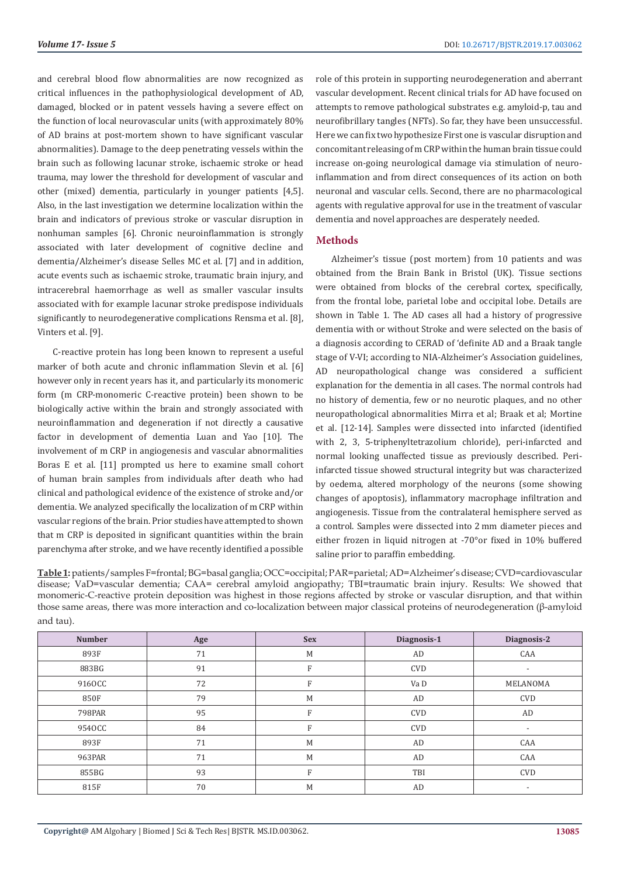and cerebral blood flow abnormalities are now recognized as critical influences in the pathophysiological development of AD, damaged, blocked or in patent vessels having a severe effect on the function of local neurovascular units (with approximately 80% of AD brains at post-mortem shown to have significant vascular abnormalities). Damage to the deep penetrating vessels within the brain such as following lacunar stroke, ischaemic stroke or head trauma, may lower the threshold for development of vascular and other (mixed) dementia, particularly in younger patients [4,5]. Also, in the last investigation we determine localization within the brain and indicators of previous stroke or vascular disruption in nonhuman samples [6]. Chronic neuroinflammation is strongly associated with later development of cognitive decline and dementia/Alzheimer's disease Selles MC et al. [7] and in addition, acute events such as ischaemic stroke, traumatic brain injury, and intracerebral haemorrhage as well as smaller vascular insults associated with for example lacunar stroke predispose individuals significantly to neurodegenerative complications Rensma et al. [8], Vinters et al. [9].

C-reactive protein has long been known to represent a useful marker of both acute and chronic inflammation Slevin et al. [6] however only in recent years has it, and particularly its monomeric form (m CRP-monomeric C-reactive protein) been shown to be biologically active within the brain and strongly associated with neuroinflammation and degeneration if not directly a causative factor in development of dementia Luan and Yao [10]. The involvement of m CRP in angiogenesis and vascular abnormalities Boras E et al. [11] prompted us here to examine small cohort of human brain samples from individuals after death who had clinical and pathological evidence of the existence of stroke and/or dementia. We analyzed specifically the localization of m CRP within vascular regions of the brain. Prior studies have attempted to shown that m CRP is deposited in significant quantities within the brain parenchyma after stroke, and we have recently identified a possible

role of this protein in supporting neurodegeneration and aberrant vascular development. Recent clinical trials for AD have focused on attempts to remove pathological substrates e.g. amyloid-p, tau and neurofibrillary tangles (NFTs). So far, they have been unsuccessful. Here we can fix two hypothesize First one is vascular disruption and concomitant releasing of m CRP within the human brain tissue could increase on-going neurological damage via stimulation of neuroinflammation and from direct consequences of its action on both neuronal and vascular cells. Second, there are no pharmacological agents with regulative approval for use in the treatment of vascular dementia and novel approaches are desperately needed.

# **Methods**

Alzheimer's tissue (post mortem) from 10 patients and was obtained from the Brain Bank in Bristol (UK). Tissue sections were obtained from blocks of the cerebral cortex, specifically, from the frontal lobe, parietal lobe and occipital lobe. Details are shown in Table 1. The AD cases all had a history of progressive dementia with or without Stroke and were selected on the basis of a diagnosis according to CERAD of 'definite AD and a Braak tangle stage of V-VI; according to NIA-Alzheimer's Association guidelines, AD neuropathological change was considered a sufficient explanation for the dementia in all cases. The normal controls had no history of dementia, few or no neurotic plaques, and no other neuropathological abnormalities Mirra et al; Braak et al; Mortine et al. [12-14]. Samples were dissected into infarcted (identified with 2, 3, 5-triphenyltetrazolium chloride), peri-infarcted and normal looking unaffected tissue as previously described. Periinfarcted tissue showed structural integrity but was characterized by oedema, altered morphology of the neurons (some showing changes of apoptosis), inflammatory macrophage infiltration and angiogenesis. Tissue from the contralateral hemisphere served as a control. Samples were dissected into 2 mm diameter pieces and either frozen in liquid nitrogen at -70°or fixed in 10% buffered saline prior to paraffin embedding.

**Table 1:** patients/samples F=frontal; BG=basal ganglia; OCC=occipital; PAR=parietal; AD=Alzheimer's disease; CVD=cardiovascular disease; VaD=vascular dementia; CAA= cerebral amyloid angiopathy; TBI=traumatic brain injury. Results: We showed that monomeric-C-reactive protein deposition was highest in those regions affected by stroke or vascular disruption, and that within those same areas, there was more interaction and co-localization between major classical proteins of neurodegeneration (β-amyloid and tau).

| <b>Number</b> | Age | <b>Sex</b> | Diagnosis-1 | Diagnosis-2              |
|---------------|-----|------------|-------------|--------------------------|
| 893F          | 71  | M          | AD          | CAA                      |
| 883BG         | 91  | F          | <b>CVD</b>  | $\overline{\phantom{a}}$ |
| 9160CC        | 72  | F          | Va D        | MELANOMA                 |
| 850F          | 79  | M          | AD          | <b>CVD</b>               |
| 798PAR        | 95  | F          | <b>CVD</b>  | AD                       |
| 9540CC        | 84  | F          | <b>CVD</b>  | $\overline{\phantom{a}}$ |
| 893F          | 71  | M          | AD          | CAA                      |
| 963PAR        | 71  | M          | AD          | CAA                      |
| 855BG         | 93  | F          | TBI         | <b>CVD</b>               |
| 815F          | 70  | M          | AD          | $\overline{\phantom{a}}$ |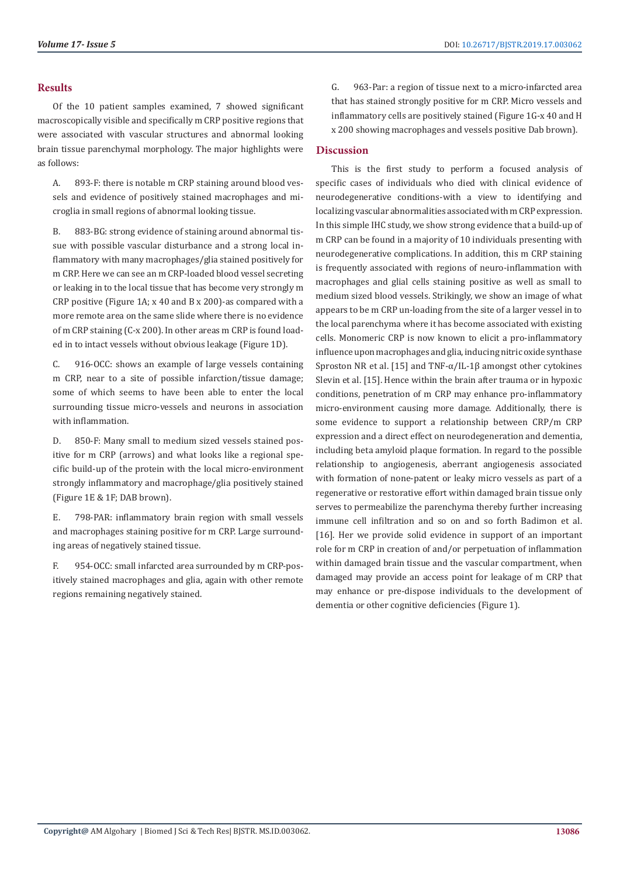# **Results**

Of the 10 patient samples examined, 7 showed significant macroscopically visible and specifically m CRP positive regions that were associated with vascular structures and abnormal looking brain tissue parenchymal morphology. The major highlights were as follows:

A. 893-F: there is notable m CRP staining around blood vessels and evidence of positively stained macrophages and microglia in small regions of abnormal looking tissue.

B. 883-BG: strong evidence of staining around abnormal tissue with possible vascular disturbance and a strong local inflammatory with many macrophages/glia stained positively for m CRP. Here we can see an m CRP-loaded blood vessel secreting or leaking in to the local tissue that has become very strongly m CRP positive (Figure 1A; x 40 and B x 200)-as compared with a more remote area on the same slide where there is no evidence of m CRP staining (C-x 200). In other areas m CRP is found loaded in to intact vessels without obvious leakage (Figure 1D).

C. 916-OCC: shows an example of large vessels containing m CRP, near to a site of possible infarction/tissue damage; some of which seems to have been able to enter the local surrounding tissue micro-vessels and neurons in association with inflammation.

D. 850-F: Many small to medium sized vessels stained positive for m CRP (arrows) and what looks like a regional specific build-up of the protein with the local micro-environment strongly inflammatory and macrophage/glia positively stained (Figure 1E & 1F; DAB brown).

E. 798-PAR: inflammatory brain region with small vessels and macrophages staining positive for m CRP. Large surrounding areas of negatively stained tissue.

F. 954-OCC: small infarcted area surrounded by m CRP-positively stained macrophages and glia, again with other remote regions remaining negatively stained.

G. 963-Par: a region of tissue next to a micro-infarcted area that has stained strongly positive for m CRP. Micro vessels and inflammatory cells are positively stained (Figure 1G-x 40 and H x 200 showing macrophages and vessels positive Dab brown).

# **Discussion**

This is the first study to perform a focused analysis of specific cases of individuals who died with clinical evidence of neurodegenerative conditions-with a view to identifying and localizing vascular abnormalities associated with m CRP expression. In this simple IHC study, we show strong evidence that a build-up of m CRP can be found in a majority of 10 individuals presenting with neurodegenerative complications. In addition, this m CRP staining is frequently associated with regions of neuro-inflammation with macrophages and glial cells staining positive as well as small to medium sized blood vessels. Strikingly, we show an image of what appears to be m CRP un-loading from the site of a larger vessel in to the local parenchyma where it has become associated with existing cells. Monomeric CRP is now known to elicit a pro-inflammatory influence upon macrophages and glia, inducing nitric oxide synthase Sproston NR et al. [15] and TNF-α/IL-1β amongst other cytokines Slevin et al. [15]. Hence within the brain after trauma or in hypoxic conditions, penetration of m CRP may enhance pro-inflammatory micro-environment causing more damage. Additionally, there is some evidence to support a relationship between CRP/m CRP expression and a direct effect on neurodegeneration and dementia, including beta amyloid plaque formation. In regard to the possible relationship to angiogenesis, aberrant angiogenesis associated with formation of none-patent or leaky micro vessels as part of a regenerative or restorative effort within damaged brain tissue only serves to permeabilize the parenchyma thereby further increasing immune cell infiltration and so on and so forth Badimon et al. [16]. Her we provide solid evidence in support of an important role for m CRP in creation of and/or perpetuation of inflammation within damaged brain tissue and the vascular compartment, when damaged may provide an access point for leakage of m CRP that may enhance or pre-dispose individuals to the development of dementia or other cognitive deficiencies (Figure 1).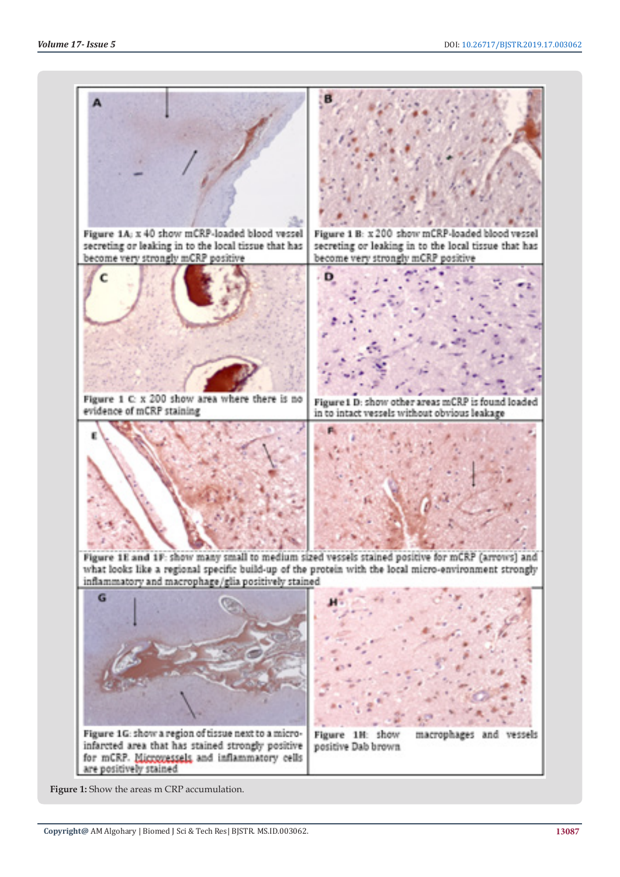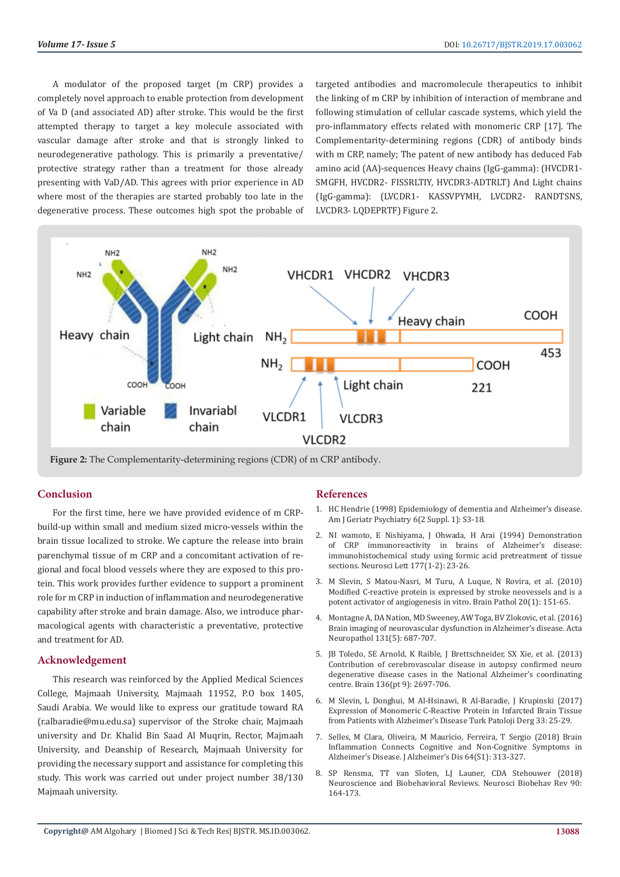A modulator of the proposed target (m CRP) provides a completely novel approach to enable protection from development of Va D (and associated AD) after stroke. This would be the first attempted therapy to target a key molecule associated with vascular damage after stroke and that is strongly linked to neurodegenerative pathology. This is primarily a preventative/ protective strategy rather than a treatment for those already presenting with VaD/AD. This agrees with prior experience in AD where most of the therapies are started probably too late in the degenerative process. These outcomes high spot the probable of targeted antibodies and macromolecule therapeutics to inhibit the linking of m CRP by inhibition of interaction of membrane and following stimulation of cellular cascade systems, which yield the pro-inflammatory effects related with monomeric CRP [17]. The Complementarity-determining regions (CDR) of antibody binds with m CRP, namely; The patent of new antibody has deduced Fab amino acid (AA)-sequences Heavy chains (IgG-gamma): (HVCDR1- SMGFH, HVCDR2- FISSRLTIY, HVCDR3-ADTRLT) And Light chains (IgG-gamma): (LVCDR1- KASSVPYMH, LVCDR2- RANDTSNS, LVCDR3- LQDEPRTF) Figure 2.



# **Conclusion**

For the first time, here we have provided evidence of m CRPbuild-up within small and medium sized micro-vessels within the brain tissue localized to stroke. We capture the release into brain parenchymal tissue of m CRP and a concomitant activation of regional and focal blood vessels where they are exposed to this protein. This work provides further evidence to support a prominent role for m CRP in induction of inflammation and neurodegenerative capability after stroke and brain damage. Also, we introduce pharmacological agents with characteristic a preventative, protective and treatment for AD.

## **Acknowledgement**

This research was reinforced by the Applied Medical Sciences College, Majmaah University, Majmaah 11952, P.O box 1405, Saudi Arabia. We would like to express our gratitude toward RA (r.albaradie@mu.edu.sa) supervisor of the Stroke chair, Majmaah university and Dr. Khalid Bin Saad Al Muqrin, Rector, Majmaah University, and Deanship of Research, Majmaah University for providing the necessary support and assistance for completing this study. This work was carried out under project number 38/130 Majmaah university.

# **References**

- 1. [HC Hendrie \(1998\) Epidemiology of dementia and Alzheimer's disease.](https://www.ncbi.nlm.nih.gov/pubmed/9581216) [Am J Geriatr Psychiatry 6\(2 Suppl. 1\): S3-18.](https://www.ncbi.nlm.nih.gov/pubmed/9581216)
- 2. [NI wamoto, E Nishiyama, J Ohwada, H Arai \(1994\) Demonstration](https://www.ncbi.nlm.nih.gov/pubmed/7824175) [of CRP immunoreactivity in brains of Alzheimer's disease:](https://www.ncbi.nlm.nih.gov/pubmed/7824175) [immunohistochemical study using formic acid pretreatment of tissue](https://www.ncbi.nlm.nih.gov/pubmed/7824175) [sections. Neurosci Lett 177\(1-2\): 23-26.](https://www.ncbi.nlm.nih.gov/pubmed/7824175)
- 3. [M Slevin, S Matou-Nasri, M Turu, A Luque, N Rovira, et al. \(2010\)](https://www.ncbi.nlm.nih.gov/pubmed/19170684) [Modified C-reactive protein is expressed by stroke neovessels and is a](https://www.ncbi.nlm.nih.gov/pubmed/19170684) [potent activator of angiogenesis in vitro. Brain Pathol 20\(1\): 151-65.](https://www.ncbi.nlm.nih.gov/pubmed/19170684)
- 4. [Montagne A, DA Nation, MD Sweeney, AW Toga, BV Zlokovic, et al. \(2016\)](https://www.ncbi.nlm.nih.gov/pubmed/27038189) [Brain imaging of neurovascular dysfunction in Alzheimer's disease. Acta](https://www.ncbi.nlm.nih.gov/pubmed/27038189) [Neuropathol 131\(5\): 687-707.](https://www.ncbi.nlm.nih.gov/pubmed/27038189)
- 5. [JB Toledo, SE Arnold, K Raible, J Brettschneider, SX Xie, et al. \(2013\)](https://www.ncbi.nlm.nih.gov/pubmed/23842566) [Contribution of cerebrovascular disease in autopsy confirmed neuro](https://www.ncbi.nlm.nih.gov/pubmed/23842566) [degenerative disease cases in the National Alzheimer's coordinating](https://www.ncbi.nlm.nih.gov/pubmed/23842566) [centre. Brain 136\(pt 9\): 2697-706.](https://www.ncbi.nlm.nih.gov/pubmed/23842566)
- 6. [M Slevin, L Donghui, M Al-Hsinawi, R Al-Baradie, J Krupinski \(2017\)](https://pdfs.semanticscholar.org/de7c/c39f0704571723f4c2a3dce07d369b2672a6.pdf) [Expression of Monomeric C-Reactive Protein in Infarcted Brain Tissue](https://pdfs.semanticscholar.org/de7c/c39f0704571723f4c2a3dce07d369b2672a6.pdf) [from Patients with Alzheimer's Disease Turk Patoloji Derg 33: 25-29.](https://pdfs.semanticscholar.org/de7c/c39f0704571723f4c2a3dce07d369b2672a6.pdf)
- 7. [Selles, M Clara, Oliveira, M Mauricio, Ferreira, T Sergio \(2018\) Brain](https://www.ncbi.nlm.nih.gov/pubmed/29710716) [Inflammation Connects Cognitive and Non-Cognitive Symptoms in](https://www.ncbi.nlm.nih.gov/pubmed/29710716) [Alzheimer's Disease. J Alzheimer's Dis 64\(S1\): 313-327.](https://www.ncbi.nlm.nih.gov/pubmed/29710716)
- 8. SP Rensma, TT van Sloten, LJ Launer, CDA Stehouwer (2018) Neuroscience and Biobehavioral Reviews. Neurosci Biobehav Rev 90: 164-173.